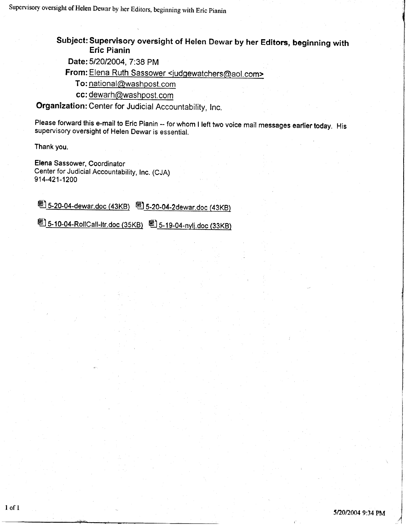Subject: Superuisory oversight of Heten Dewar by her Editors, beginning with Eric Pianin

Date: 5/20/2004, 7:38 PM

From: Elena Ruth Sassower <judgewatchers@aol.com>

To: national@washpost. com

cc: dewarh@washpost.com

Organization: Center for Judicial Accountability, Inc.

Please forward this e-mail to Eric Pianin -- for whom I left two voice mail messages earlier today. His<br>supervisory oversight of Helen Dewar is essential.

Thank you.

Elena Sassower, Coordinator Center for Judicial Accountability, Inc. (CJA) 914-421-1200

圈 5-20-04-dewar.doc (43KB) 圈 5-20-04-2dewar.doc (43KB)

<sup>题</sup>] 5-10-04-RollCall-ltr.doc (35KB) <sup>図</sup>] 5-19-04-nylj.doc (33KB)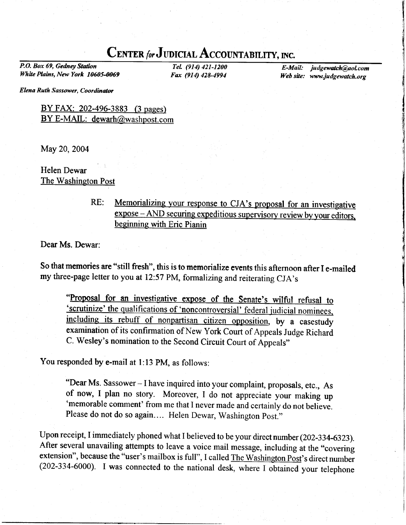## CENTER for JUDICIAL ACCOUNTABILITY, INC.

P.O. Box 69, Gedney Station White Plains, New York 10605-0069

TeL (914) 421-1200 Fax (914) 428-4994

E-Mail: judgewatch@aol.com Web site: www.judgewatch.org

Elena Ruth Sassower, Coordinator

### BY FAX: 202-496-3883 (3 pages) BY E-MAIL: dewarh@washpost.com

May 20,2004

Helen Dewar The Washington Post

> Memorializing your response to CJA's proposal for an investigative RE: expose – AND securing expeditious supervisory review by your editors, beginning with Eric Pianin

Dear Ms. Dewar:

So that memories are "still fresh", this is to memorialize events this afternoon after I e-mailed my three-page letter to you at 12:57 PM, formalizing and reiterating CJA's

"Proposal for an investigative expose of the Senate's wilful refusal to the qualifications of 'noncontroversial' federal judicial nominees, including its rebuff of nonpartisan citizen opposition, by a casestudy examination of its confirmation of New York Court of Appeals Judge Richard C. Wesley's nomination to the Second Circuit Court of Appeals"

You responded by e-mail at 1:13 PM, as follows:

"Dear Ms. Sassower - I have inquired into your complaint, proposals, etc., As of now, I plan no story. Moreover, I do not appreciate your making up 'memorable comment' from me that I never made and certainly do not believe. Please do not do so again.... Helen Dewar, washington post."

Upon receipt, I immediately phoned what I believed to be your direct number (202-334-6323). After several unavailing attempts to leave a voice mail message, including at the "covering extension", because the "user's mailbox is full", I called The Washington Post's direct number (202-334-6000). I was connected to the national desk, where I obtained your telephone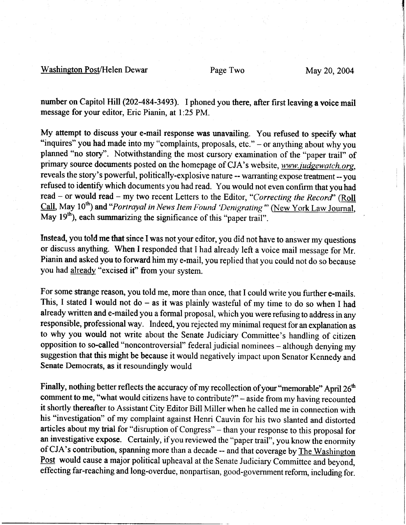#### Washington Post/Helen Dewar Page Two May 20, 2004

number on Capitol Hill (202-484-3493). I phoned you there, after first leaving a voice mail message for your editor, Eric Pianin, at l:25 PM.

My attempt to discuss your e-mail response was unavailing. You refused to specify what "inquires" you had made into my "complaints, proposals, etc." – or anything about why you planned "no story". Notwithstanding the most cursory examination of the "paper trail" of primary source documents posted on the homepage of CJA's website, www.judgewatch.org, reveals the story's powerful, politically-explosive nature -- warranting expose treatment -- you refused to identify which documents you had read. You would not even confirm that you had read - or would read - my two recent Letters to the Editor, "Correcting the Record" (Roll Call, May 10<sup>th</sup>) and "Portrayal in News Item Found 'Denigrating"' (New York Law Journal,  $\overline{\text{May}}$  19<sup>th</sup>), each summarizing the significance of this "paper trail".

lnstead, you told me that since I was not your editor, you did not have to answer my questions or discuss anything. When I responded that I had already left a voice mail message for Mr. Pianin and asked you to forward him my e-mail, you replied that you could not do so because you had already "excised it" from your system.

For some strange reason, you told me, more than once, that I could write you further e-mails. This, I stated I would not do  $-$  as it was plainly wasteful of my time to do so when I had already written and e-mailed you a formal proposal, which you were refusing to address in any responsible, professional way. Indeed, you rejected my minimal request for an explanation as to why you would not write about the Senate Judiciary Committee's handling of citizen opposition to so-called "noncontroversial" federal judicial nominees - although denying my suggestion that this might be because it would negatively impact upon Senator Kennedy and Senate Democrats, as it resoundingly would

Finally, nothing better reflects the accuracy of my recollection of your "memorable" April 26<sup>th</sup> comment to me, "what would citizens have to contribute?" - aside from my having recounted it shortly thereafter to Assistant City Editor Bill Miller when he called me in connection with his "investigation" of my complaint against Henri Cauvin for his two slanted and distorted articles about my trial for "disruption of Congress" - than your response to this proposal for an investigative expose. Certainly, if you reviewed the "paper trail", you know the enormity of CJA's contribution, spanning more than a decade -- and that coverage by The Washington Post would cause a major political upheaval at the Senate Judiciary Committee and beyond, effecting far-reaching and long-overdue, nonpartisan, good-government reform, including for.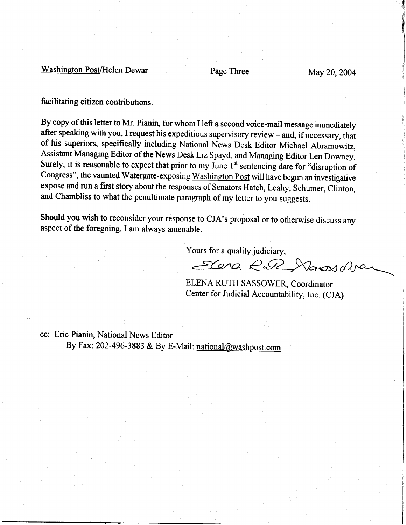## Washington Post/Helen Dewar Page Three May 20, 2004

facilitating citizen contributions.

By copy of this letter to Mr. Pianin, for whom I left a second voice-mail message immediately after speaking with you, I request his expeditious supervisory review - and, if necessary, that of his superiors, specifically including National News Desk Editor Michael Abramowitz, Assistant Managing Editor of the News Desk Liz Spayd, and Managing Editor Len Downey. Surely, it is reasonable to expect that prior to my June  $1<sup>st</sup>$  sentencing date for "disruption of Congress", the vaunted Watergate-exposing Washington Post will have begun an investigative expose and run a first story about the responses of Senators Hatch, Leahy, Schumer, Clinton, and Chambliss to what the penultimate paragraph of my letter to you suggests.

Should you wish to reconsider your response to CJA's proposal or to otherwise discuss any aspect of the foregoing, I am always amenable.

Yours for a quality judiciary,

Scena R.R Nansvolve

ELENA RUTH SASSOWER, Coordinator Center for Judicial Accountability, Inc. (CJA)

cc: Eric Pianin, National News Editor By Fax: 202-496-3883 & By E-Mail: national@washpost.com